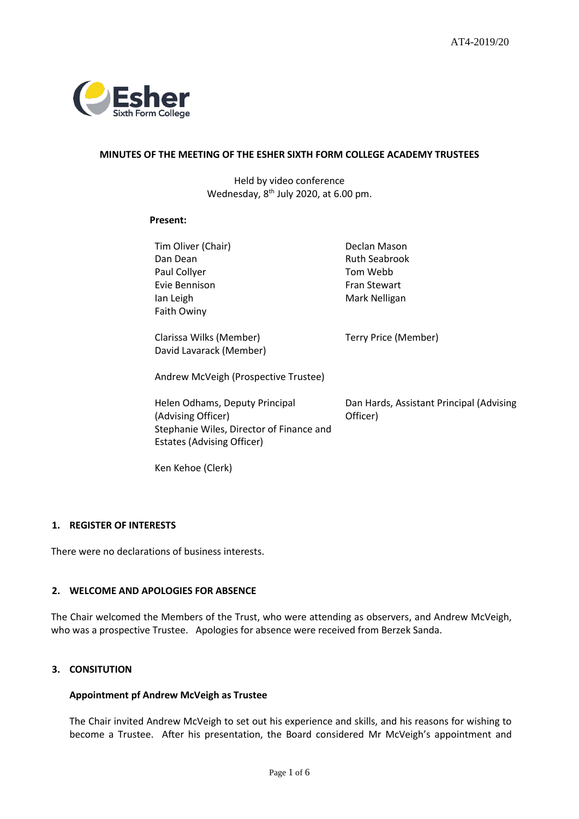

# **MINUTES OF THE MEETING OF THE ESHER SIXTH FORM COLLEGE ACADEMY TRUSTEES**

Held by video conference Wednesday, 8<sup>th</sup> July 2020, at 6.00 pm.

# **Present:**

| Tim Oliver (Chair)                       | Declan Mason                             |
|------------------------------------------|------------------------------------------|
| Dan Dean                                 | <b>Ruth Seabrook</b>                     |
| Paul Collyer                             | Tom Webb                                 |
| Evie Bennison                            | <b>Fran Stewart</b>                      |
| lan Leigh                                | Mark Nelligan                            |
| Faith Owiny                              |                                          |
|                                          |                                          |
| Clarissa Wilks (Member)                  | Terry Price (Member)                     |
| David Lavarack (Member)                  |                                          |
|                                          |                                          |
| Andrew McVeigh (Prospective Trustee)     |                                          |
|                                          |                                          |
| Helen Odhams, Deputy Principal           | Dan Hards, Assistant Principal (Advising |
| (Advising Officer)                       | Officer)                                 |
| Stephanie Wiles, Director of Finance and |                                          |
| <b>Estates (Advising Officer)</b>        |                                          |
|                                          |                                          |
| Ken Kehoe (Clerk)                        |                                          |

# **1. REGISTER OF INTERESTS**

There were no declarations of business interests.

# **2. WELCOME AND APOLOGIES FOR ABSENCE**

The Chair welcomed the Members of the Trust, who were attending as observers, and Andrew McVeigh, who was a prospective Trustee. Apologies for absence were received from Berzek Sanda.

# **3. CONSITUTION**

# **Appointment pf Andrew McVeigh as Trustee**

The Chair invited Andrew McVeigh to set out his experience and skills, and his reasons for wishing to become a Trustee. After his presentation, the Board considered Mr McVeigh's appointment and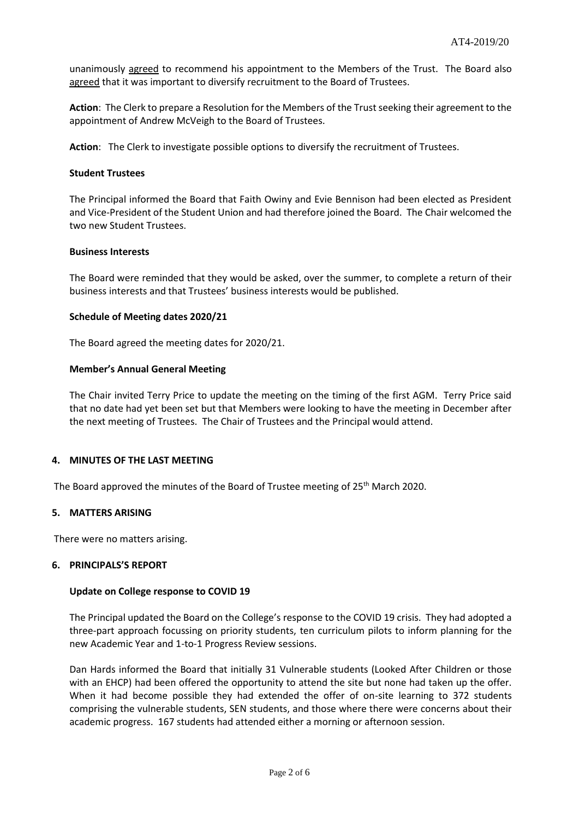unanimously agreed to recommend his appointment to the Members of the Trust. The Board also agreed that it was important to diversify recruitment to the Board of Trustees.

**Action**: The Clerk to prepare a Resolution for the Members of the Trust seeking their agreement to the appointment of Andrew McVeigh to the Board of Trustees.

**Action**: The Clerk to investigate possible options to diversify the recruitment of Trustees.

### **Student Trustees**

The Principal informed the Board that Faith Owiny and Evie Bennison had been elected as President and Vice-President of the Student Union and had therefore joined the Board. The Chair welcomed the two new Student Trustees.

## **Business Interests**

The Board were reminded that they would be asked, over the summer, to complete a return of their business interests and that Trustees' business interests would be published.

## **Schedule of Meeting dates 2020/21**

The Board agreed the meeting dates for 2020/21.

## **Member's Annual General Meeting**

The Chair invited Terry Price to update the meeting on the timing of the first AGM. Terry Price said that no date had yet been set but that Members were looking to have the meeting in December after the next meeting of Trustees. The Chair of Trustees and the Principal would attend.

# **4. MINUTES OF THE LAST MEETING**

The Board approved the minutes of the Board of Trustee meeting of 25<sup>th</sup> March 2020.

#### **5. MATTERS ARISING**

There were no matters arising.

### **6. PRINCIPALS'S REPORT**

#### **Update on College response to COVID 19**

The Principal updated the Board on the College's response to the COVID 19 crisis. They had adopted a three-part approach focussing on priority students, ten curriculum pilots to inform planning for the new Academic Year and 1-to-1 Progress Review sessions.

Dan Hards informed the Board that initially 31 Vulnerable students (Looked After Children or those with an EHCP) had been offered the opportunity to attend the site but none had taken up the offer. When it had become possible they had extended the offer of on-site learning to 372 students comprising the vulnerable students, SEN students, and those where there were concerns about their academic progress. 167 students had attended either a morning or afternoon session.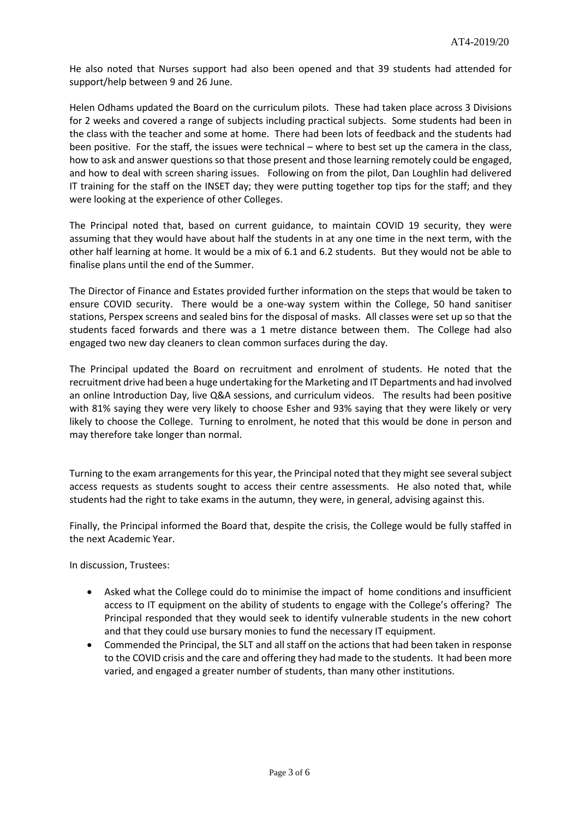He also noted that Nurses support had also been opened and that 39 students had attended for support/help between 9 and 26 June.

Helen Odhams updated the Board on the curriculum pilots. These had taken place across 3 Divisions for 2 weeks and covered a range of subjects including practical subjects. Some students had been in the class with the teacher and some at home. There had been lots of feedback and the students had been positive. For the staff, the issues were technical – where to best set up the camera in the class, how to ask and answer questions so that those present and those learning remotely could be engaged, and how to deal with screen sharing issues. Following on from the pilot, Dan Loughlin had delivered IT training for the staff on the INSET day; they were putting together top tips for the staff; and they were looking at the experience of other Colleges.

The Principal noted that, based on current guidance, to maintain COVID 19 security, they were assuming that they would have about half the students in at any one time in the next term, with the other half learning at home. It would be a mix of 6.1 and 6.2 students. But they would not be able to finalise plans until the end of the Summer.

The Director of Finance and Estates provided further information on the steps that would be taken to ensure COVID security. There would be a one-way system within the College, 50 hand sanitiser stations, Perspex screens and sealed bins for the disposal of masks. All classes were set up so that the students faced forwards and there was a 1 metre distance between them. The College had also engaged two new day cleaners to clean common surfaces during the day.

The Principal updated the Board on recruitment and enrolment of students. He noted that the recruitment drive had been a huge undertaking for the Marketing and IT Departments and had involved an online Introduction Day, live Q&A sessions, and curriculum videos. The results had been positive with 81% saying they were very likely to choose Esher and 93% saying that they were likely or very likely to choose the College. Turning to enrolment, he noted that this would be done in person and may therefore take longer than normal.

Turning to the exam arrangements for this year, the Principal noted that they might see severalsubject access requests as students sought to access their centre assessments. He also noted that, while students had the right to take exams in the autumn, they were, in general, advising against this.

Finally, the Principal informed the Board that, despite the crisis, the College would be fully staffed in the next Academic Year.

In discussion, Trustees:

- Asked what the College could do to minimise the impact of home conditions and insufficient access to IT equipment on the ability of students to engage with the College's offering? The Principal responded that they would seek to identify vulnerable students in the new cohort and that they could use bursary monies to fund the necessary IT equipment.
- Commended the Principal, the SLT and all staff on the actions that had been taken in response to the COVID crisis and the care and offering they had made to the students. It had been more varied, and engaged a greater number of students, than many other institutions.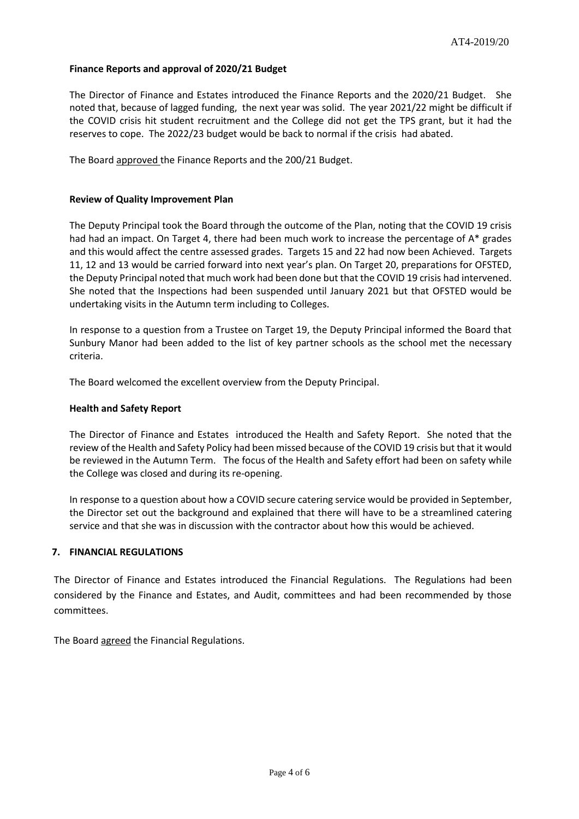## **Finance Reports and approval of 2020/21 Budget**

The Director of Finance and Estates introduced the Finance Reports and the 2020/21 Budget. She noted that, because of lagged funding, the next year was solid. The year 2021/22 might be difficult if the COVID crisis hit student recruitment and the College did not get the TPS grant, but it had the reserves to cope. The 2022/23 budget would be back to normal if the crisis had abated.

The Board approved the Finance Reports and the 200/21 Budget.

### **Review of Quality Improvement Plan**

The Deputy Principal took the Board through the outcome of the Plan, noting that the COVID 19 crisis had had an impact. On Target 4, there had been much work to increase the percentage of A\* grades and this would affect the centre assessed grades. Targets 15 and 22 had now been Achieved. Targets 11, 12 and 13 would be carried forward into next year's plan. On Target 20, preparations for OFSTED, the Deputy Principal noted that much work had been done but that the COVID 19 crisis had intervened. She noted that the Inspections had been suspended until January 2021 but that OFSTED would be undertaking visits in the Autumn term including to Colleges.

In response to a question from a Trustee on Target 19, the Deputy Principal informed the Board that Sunbury Manor had been added to the list of key partner schools as the school met the necessary criteria.

The Board welcomed the excellent overview from the Deputy Principal.

### **Health and Safety Report**

The Director of Finance and Estates introduced the Health and Safety Report. She noted that the review of the Health and Safety Policy had been missed because of the COVID 19 crisis but that it would be reviewed in the Autumn Term. The focus of the Health and Safety effort had been on safety while the College was closed and during its re-opening.

In response to a question about how a COVID secure catering service would be provided in September, the Director set out the background and explained that there will have to be a streamlined catering service and that she was in discussion with the contractor about how this would be achieved.

#### **7. FINANCIAL REGULATIONS**

The Director of Finance and Estates introduced the Financial Regulations. The Regulations had been considered by the Finance and Estates, and Audit, committees and had been recommended by those committees.

The Board agreed the Financial Regulations.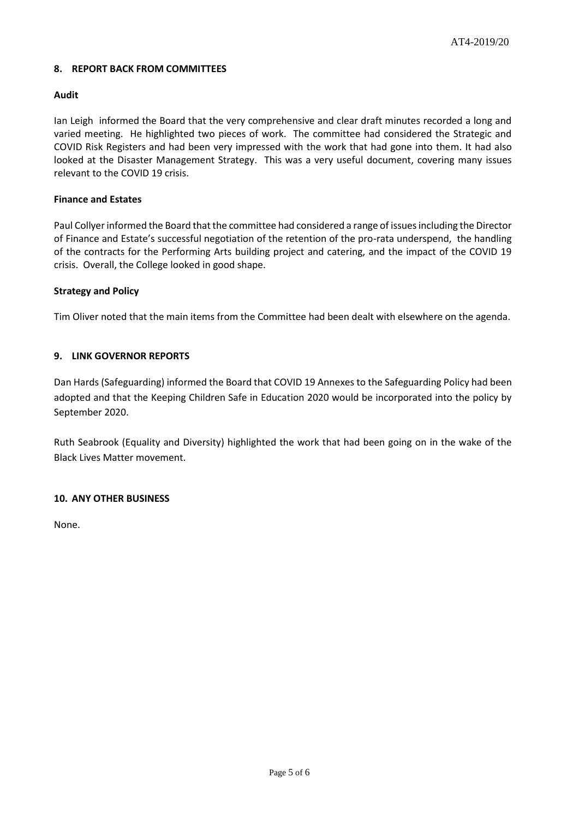# **8. REPORT BACK FROM COMMITTEES**

## **Audit**

Ian Leigh informed the Board that the very comprehensive and clear draft minutes recorded a long and varied meeting. He highlighted two pieces of work. The committee had considered the Strategic and COVID Risk Registers and had been very impressed with the work that had gone into them. It had also looked at the Disaster Management Strategy. This was a very useful document, covering many issues relevant to the COVID 19 crisis.

## **Finance and Estates**

Paul Collyer informed the Board that the committee had considered a range of issues including the Director of Finance and Estate's successful negotiation of the retention of the pro-rata underspend, the handling of the contracts for the Performing Arts building project and catering, and the impact of the COVID 19 crisis. Overall, the College looked in good shape.

## **Strategy and Policy**

Tim Oliver noted that the main items from the Committee had been dealt with elsewhere on the agenda.

## **9. LINK GOVERNOR REPORTS**

Dan Hards (Safeguarding) informed the Board that COVID 19 Annexes to the Safeguarding Policy had been adopted and that the Keeping Children Safe in Education 2020 would be incorporated into the policy by September 2020.

Ruth Seabrook (Equality and Diversity) highlighted the work that had been going on in the wake of the Black Lives Matter movement.

#### **10. ANY OTHER BUSINESS**

None.